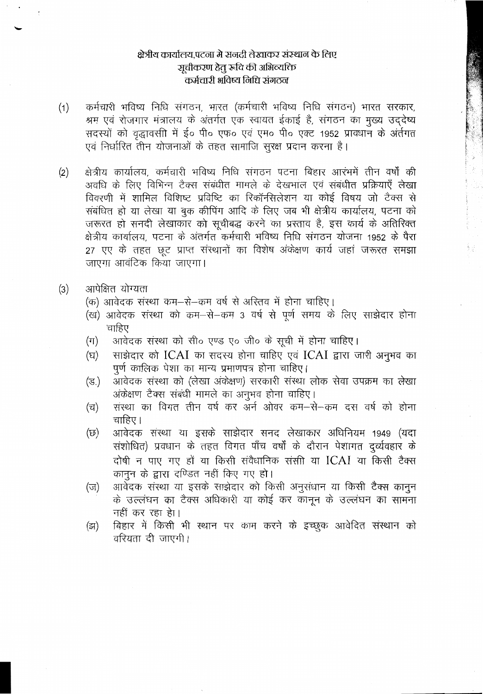### क्षेत्रीय कार्यालय.पटना मे सनदी लेखाकर संस्थान के लिए ञूचीकरण हेतु रुचि की अभिव्यक्ति कर्मचारी भविष्य निधि संगठन

- कर्मचारी भविष्य निधि संगठन, भारत (कर्मचारी भविष्य निधि संगठन) भारत सरकार,  $(1)$ श्रम एवं रोजगार मंत्रालय के अंतर्गत एक स्वायत ईकाई है, संगठन का मुख्य उद्देष्य सदस्यों को वृद्धावसी में ई० पी० एफ० एवं एम० पी० एक्ट 1952 प्रावधान के अंर्तगत एवं निर्धारित तीन योजनाओं के तहत सामाजि सूरक्ष प्रदान करना है।
- क्षेत्रीय कार्यालय, कर्मचारी भविष्य निधि संगठन पटना बिहार आरंभमें तीन वर्षों की  $(2)$ अवधि के लिए विभिन्न टैक्स संबंधीत मामले के देखभाल एवं संबंधीत प्रक्रियाएँ लेखा विवरणी में शामिल विशिष्ट प्रविष्टि का रिकॉन्सिलेशन या कोई विषय जो टैक्स से संबंधित हो या लेखा या बुक कीपिंग आदि के लिए जब भी क्षेत्रीय कार्यालय, पटना को जरूरत हो सनदी लेखाकाँर को सूचीबद्ध करने का प्रस्ताव है, इस कार्य के अतिरिक्त क्षेत्रीय कार्यालय, पटना के अंतर्गत कर्मचारी भविष्य निधि संगठन योजना 1952 के पैरा 27 एए के तहत छूट प्राप्त संस्थानों का विशेष अंकेक्षण कार्य जहां जरूरत समझा जाएगा आवंटिक किया जाएगा।
- आपेक्षित योग्यता  $(3)$ 
	- (क) आवेदक संस्था कम–से–कम वर्ष से अस्तिव में होना चाहिए।
	- (ख) आवेदक संस्था को कम-से-कम 3 वर्ष से पूर्ण समय के लिए साझेदार होना चाहिए
	- आवेदक संस्था को सी॰ एण्ड ए॰ जी॰ के सूची में होना चाहिए।  $(\pi)$
	- साझेदार को ICAI का सदस्य होना चाहिए एवं ICAI द्वारा जारी अनुभव का (घ) पूर्ण कालिक पेशा का मान्य प्रमाणपत्र होना चाहिए।
	- आवेदक संस्था को (लेखा अंकेक्षण) सरकारी संस्था लोक सेवा उपक्रम का लेखा (ड.) अंकेक्षण टैक्स संबंधी मामले का अनुभव होना चाहिए।
	- संस्था का विगत तीन वर्ष कर अर्न ओवर कम—से—कम दस वर्ष को होना (च) चाहिए।
	- आवेदक संस्था या इसके साझेदार सनद लेखाकार अधिनियम 1949 (यदा (छ) संशोधित) प्रवधान के तहत विगत पाँच वर्षों के दौरान पेशागत दुर्व्यवहार के दोषी न पाए गए हों या किसी संवैधानिक संसी या ICAI या किसी टैक्स कानन के द्वारा दण्डित नहीं किए गए हो।
	- आवेदक संस्था या इसके साझेदार को किसी अनुसंधान या किसी टैक्स कानुन  $(\overline{v})$ के उल्लंघन का टैक्स अधिकारी या कोई कर कानून के उल्लंघन का सामना नहीं कर रहा हेा।
	- बिहार में किसी भी स्थान पर काम करने के इच्छूक आवेदित संस्थान को (झ) वरियता दी जाएगी।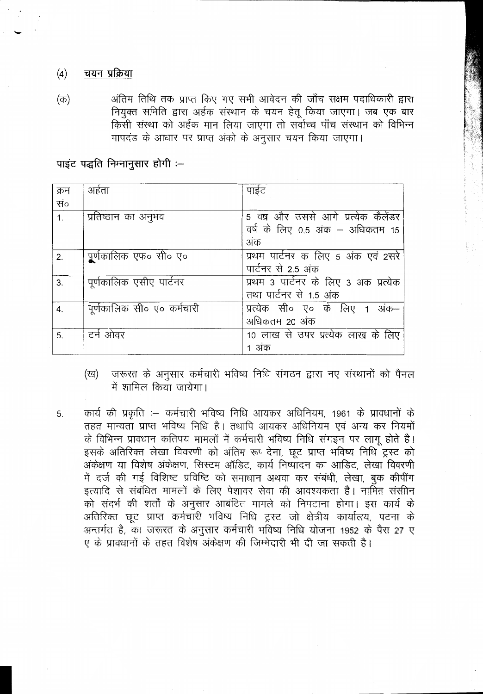#### चयन प्रक्रिया  $(4)$

अंतिम तिथि तक प्राप्त किए गए सभी आवेदन की जाँच सक्षम पदाधिकारी द्वारा  $(\overline{\Phi})$ नियुक्त समिति द्वारा अर्हक संस्थान के चयन हेतू किया जाएगा। जब एक बार किसी संस्था को अर्हक मान लिया जाएगा तो सर्वोच्च पाँच संस्थान को विभिन्न मापदंड के आधार पर प्राप्त अंको के अनुसार चयन किया जाएगा।

पाइंट पद्धति निम्नानूसार होगी :--

| क्रम | अहेता                      | पाईट                                  |
|------|----------------------------|---------------------------------------|
| सं०  |                            |                                       |
| 1.   | प्रतिष्ठान का अनुभव        | 5 वष्र और उससे आगे प्रत्येक कैलेंडर   |
|      |                            | वर्ष के लिए 0.5 अंक – अधिकतम 15       |
|      |                            | अंक                                   |
| 2.   | पूर्णकालिक एफ० सी० ए०      | प्रथम पार्टनर क लिए 5 अंक एवं 2सरे    |
|      |                            | पार्टनर से 2.5 अंक                    |
| 3.   | पूर्णकालिक एसीए पार्टनर    | प्रथम 3 पार्टनर के लिए 3 अंक प्रत्येक |
|      |                            | तथा पार्टनर से 1.5 अंक                |
| 4.   | पूर्णकालिक सी० ए० कर्मचारी | प्रत्येक सी० ए० के लिए 1 अंक–         |
|      |                            | अधिकतम 20 अंक                         |
| 5.   | टर्न ओवर                   | 10 लाख से उपर प्रत्येक लाख के लिए     |
|      |                            | 1 अंक                                 |

- जरूरत के अनुसार कर्मचारी भविष्य निधि संगठन द्वारा नए संस्थानों को पैनल (ख) में शामिल किया जायेगा।
- कार्य की प्रकृति :- कर्मचारी भविष्य निधि आयकर अधिनियम, 1961 के प्रावधानों के 5. तहत मान्यता प्राप्त भविष्य निधि है। तथापि आयकर अधिनियम एवं अन्य कर नियमों के विभिन्न प्रावधान कतिपय मामलों में कर्मचारी भविष्य निधि संगइन पर लागू होते है। इसके अतिरिक्त लेखा विवरणी को अंतिम रूप् देना, छूट प्राप्त भविष्य निधि ट्रस्ट को अंकेक्षण या विशेष अंकेक्षण, सिस्टम ऑडिट, कार्य निष्पादन का आडिट, लेखा विवरणी में दर्ज की गई विशिष्ट प्रविष्टि को समाधान अथवा कर संबंधी, लेखा, बुक कीपींग इत्यादि से संबंधित मामलों के लिए पेशावर सेवा की आवश्यकता है। नामित संसीनि को संदर्भ की शर्तों के अनुसार आबंटित मामले को निपटाना होगा। इस कार्य के अतिरिक्त छूट प्राप्त कर्मचारी भविष्य निधि ट्रस्ट जो क्षेत्रीय कार्यालय, पटना के अन्तर्गत है, का जरूरत के अनुसार कर्मचारी भविष्य निधि योजना 1952 के पैरा 27 ए ए के प्रावधानों के तहत विशेष अंकेक्षण की जिम्मेदारी भी दी जा सकती है।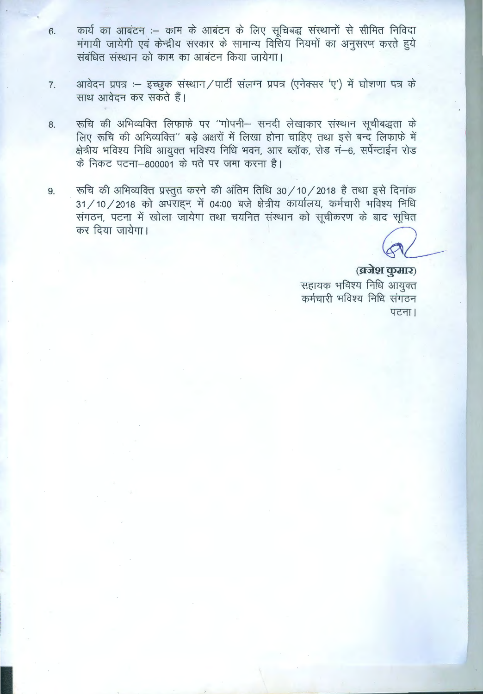- कार्य का आबंटन :- काम के आबंटन के लिए सूचिबद्ध संस्थानों से सीमित निविदा 6. मंगायी जायेगी एवं केन्द्रीय सरकार के सामान्य वित्तिय नियमों का अनुसरण करते हुये संबंधित संस्थान को काम का आबंटन किया जायेगा।
- आवेदन प्रपत्र :- इच्छुक संस्थान/पार्टी संलग्न प्रपत्र (एनेक्सर 'ए') में घोशणा पत्र के 7. साथ आवेदन कर सकते हैं।
- रूचि की अभिव्यक्ति लिफाफे पर "गोपनी- सनदी लेखाकार संस्थान सूचीबद्धता के 8. लिए रूचि की अभिव्यक्ति" बड़े अक्षरों में लिखा होना चाहिए तथा इसे बन्द लिफाफे में क्षेत्रीय भविश्य निधि आयुक्त भविश्य निधि भवन, आर ब्लॉक, रोड नं-6, सर्पेन्टाईन रोड के निकट पटना-800001 के पते पर जमा करना है।
- रूचि की अभिव्यक्ति प्रस्तुत करने की अंतिम तिथि 30 / 10 / 2018 है तथा इसे दिनांक 9. 31 / 10 / 2018 को अपराहन में 04:00 बजे क्षेत्रीय कार्यालय, कर्मचारी भविश्य निधि संगठन, पटना में खोला जायेगा तथा चयनित संस्थान को सूचीकरण के बाद सूचित कर दिया जायेगा।

(ब्रजेश कुमार) सहायक भविश्य निधि आयुक्त कर्मचारी भविश्य निधि संगठन पटना।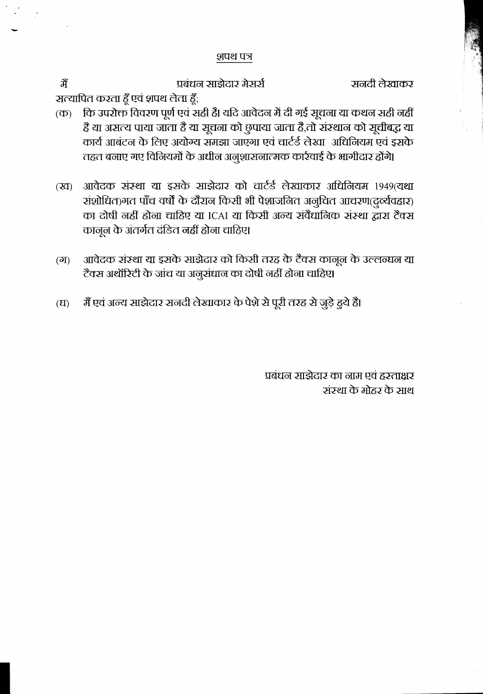#### शपथ पत्र

सनदी लेखाकर

प्रबंधन साझेदार मेसर्स

सत्यापित करता हूँ एवं शपथ लेता हूँ;

कि उपरोक्त विवरण पूर्ण एवं सही है। यदि आवेदन में दी गई सूचना या कथन सही नहीं  $(\overline{\Phi})$ हैं या असत्य पाया जाता है या सूचना को छुपाया जाता है,तो संस्थान को सूचीबद्ध या कार्य आबंटन के लिए अयोग्य समझा जाएगा एवं चार्टर्ड लेखा अधिनियम एवं इसके तहत बनाए गए विनियमों के अधीन अनुशासनात्मक कार्रवाई के भागीदार होंगे।

आवेदक संस्था या इसके साझेदार को चार्टर्ड लेखाकार अधिनियम 1949(यथा  $(\overline{2d})$ रांशोधित)गत पाँच वर्षों के दौरान किसी भी पेशाजनित अनुचित आचरण(दुर्व्यवहार) का दोषी नहीं होना चाहिए या ICAI या किसी अन्य संवैधानिक संस्था द्वारा टैक्स कानून के अंतर्गत दंडित नहीं होना चाहिए।

- आवेदक संस्था या इसके साझेदार को किसी तरह के टैक्स कानून के उल्लन्घन या  $(\overline{6})$ टैक्स अथॉरिटी के जांच या अनुसंधान का दोषी नहीं होना चाहिए।
- मैं एवं अन्य साझेदार सनदी लेखाकार के पेशे से पूरी तरह से जुड़े हुये हैं।  $(\mathbf{E})$

प्रबंधन साझेदार का नाम एवं हस्ताक्षर संस्था के मोहर के साथ

ਰੇਂ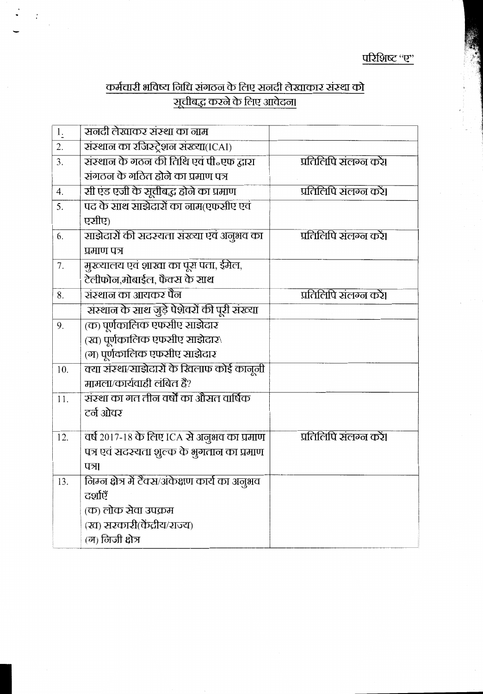# <u>कर्मचारी भविष्य निधि संगठन के लिए सनदी लेखाकार संस्था को .</u><br>सूचीबद्ध करने के लिए आवेदना

 $\boldsymbol{\cdot}$ 

| $\frac{1}{2}$ | सनदी लेखाकर संस्था का नाम                       |                        |
|---------------|-------------------------------------------------|------------------------|
| 2.            | संस्थान का रजिस्ट्रेशन संख्या(ICAI)             |                        |
| 3.            | संस्थान के गठन की तिथि एवं पी॰एफ द्वारा         | प्रतिलिपि संलग्न करें। |
|               | संगठन के गठित होने का प्रमाण पत्र               |                        |
| 4.            | सी एंड एजी के सूचीबद्ध होने का प्रमाण           | प्रतिलिपि संलग्न करें। |
| 5.            | पद के साथ साझेदारों का नाम(एफसीए एवं            |                        |
|               | एसीए)                                           |                        |
| 6.            | साझेदारों की सदस्यता संख्या एवं अनुभव का        | प्रतिलिपि संलग्न करें। |
|               | प्रमाण पत्र                                     |                        |
| 7.            | मुख्यालय एवं शाख्य का पूरा पता, ईमेल,           |                        |
|               | टेलीफोन,मोबाईल, फैक्स के साथ                    |                        |
| 8.            | संस्थान का आयकर पैन                             | प्रतिलिपि संलग्न करें। |
|               | संस्थान के साथ जुड़े पेशेवरों की पूरी संख्या    |                        |
| 9.            | (क) पूर्णकालिक एफसीए साझेदार                    |                        |
|               | (ख) पूर्णकालिक एफसीए साझेदार\                   |                        |
|               | (ग) पूर्णकालिक एफसीए साझेदार                    |                        |
| 10.           | क्या संस्था/साझेदारों के खिलाफ कोई कानूनी       |                        |
|               | मामला/कार्यवाही लंबित हैं?                      |                        |
| 11.           | संस्था का गत तीन वर्षों का औसत वार्षिक          |                        |
|               | टर्न ओवर                                        |                        |
| 12.           | वर्ष २०१७-१८ के लिए ICA से अनुभव का प्रमाण      | प्रतिलिपि संलग्न करें। |
|               | पत्र एवं सदस्यता शुल्क के भुगतान का प्रमाण      |                        |
|               | पत्र।                                           |                        |
| 13.           | निम्न क्षेत्र में टैक्स/अंकेक्षण कार्य का अनुभव |                        |
|               | ਟਗ਼ੀਏਁ                                          |                        |
|               | (क) लोक सेवा उपक्रम                             |                        |
|               | (ख) सरकारी(केंद्रीय/राज्य)                      |                        |
|               | (म) लिजी क्षेत्र                                |                        |
|               |                                                 |                        |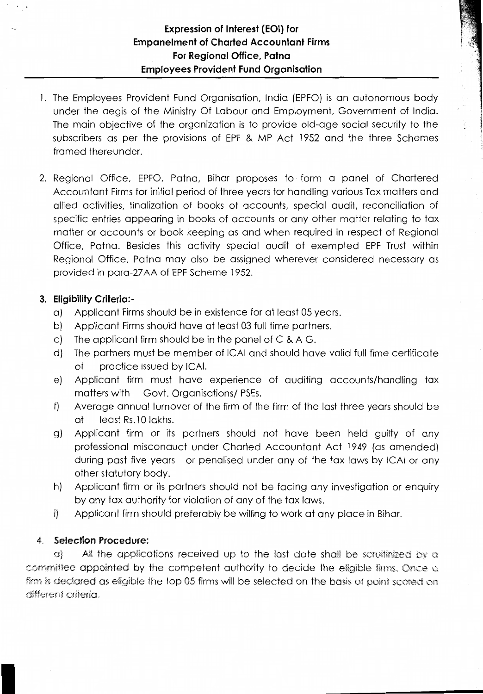- 1. The Employees Provident Fund Organisation, India (EPFO) is an autonomous body under the aegis of the Ministry Of Labour and Employment, Government of India. The main objective of the organization is to provide old-age social security to the subscribers as per the provisions of EPF & MP Act 1952 and the three Schemes framed thereunder.
- 2. Regional Office, EPFO, Patna, Bihar proposes to form a panel of Chartered Accountant Firms for initial period of three years for handling various Tax matters and allied activities, finalization of books of accounts, special audit, reconciliation of specific entries appearing in books of accounts or any other matter relating to tax matter or accounts or book keeping as and when required in respect of Regional Office, Patna. Besides this activity special audit of exempted EPF Trust within Regional Office, Patna may also be assigned wherever considered necessary as provided in para-27 AA of EPF Scheme 1952.

### **3. Eligibility Criteria:-**

- a) Applicant Firms should be in existence for at least 05 years.
- b) Applicant Firms should have at least 03 full time partners.
- c) The applicant firm should be in the panel of  $C & A G$ .
- d) The partners must be member of ICAI and should have valid full time certificate of practice issued by ICAI.
- e) Applicant firm must have experience of auditing accounts/handling tax matters with Govt. Organisations/ PSEs.
- f) Average annual turnover of the firm of the firm of the last three years should be at least Rs. 10 lakhs.
- g) Applicant firm or its partners should not have been held guilty of any professional misconduct under Charted Accountant Act 1949 (as amended) during past five years or penalised under any of the tax laws by ICAI or any other statutory body.
- h) Applicant firm or its partners should not be facing any investigation or enquiry by any tax authority for violation of any of the tax laws.
- i) Applicant firm should preferably be willing to work at any place in Bihar.

### 4- **Selection Procedure:**

I

a) All the applications received up to the last date shall be scruitinized by a committee appointed by the competent authority to decide the eligible firms, Once a firm is declared as eligible the top 05 firms will be selected on the basis of point scored on different criteria.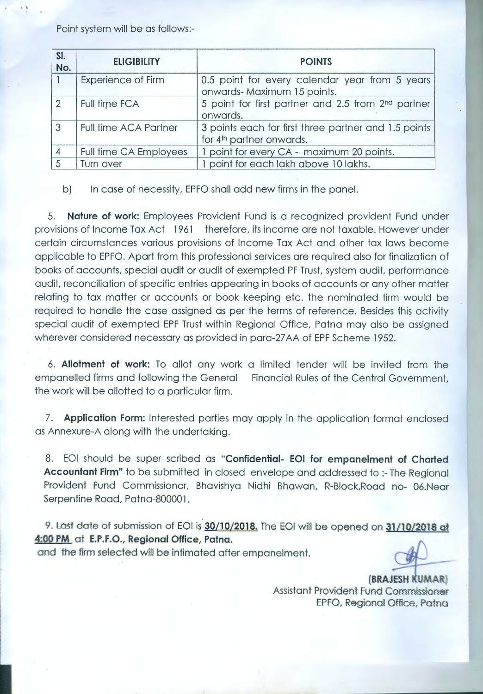Point system will be as follows:-

. '

| SI.<br>No.     | <b>ELIGIBILITY</b>           | <b>POINTS</b>                                                                                |
|----------------|------------------------------|----------------------------------------------------------------------------------------------|
|                | <b>Experience of Firm</b>    | 0.5 point for every calendar year from 5 years<br>onwards-Maximum 15 points.                 |
| $\overline{2}$ | Full time FCA                | 5 point for first partner and 2.5 from 2 <sup>nd</sup> partner<br>onwards.                   |
| 3              | <b>Full time ACA Partner</b> | 3 points each for first three partner and 1.5 points<br>for 4 <sup>th</sup> partner onwards. |
|                | Full time CA Employees       | point for every CA - maximum 20 points.                                                      |
|                | Turn over                    | point for each lakh above 10 lakhs.                                                          |

b) In case of necessity, EPFO shall add new firms in the panel.

5. **Nature of work:** Employees Provident Fund is a recognized provident Fund under provisions of Income Tax Act 1961 therefore, its income are not taxable. However under certain circumstances various provisions of Income Tax Act and other tax laws become applicable to EPFO. Apart from this professional services are required also for finalization of books of accounts, special audit or audit of exempted PF Trust, system audit, performance audit, reconciliation of specific entries appearing in books of accounts or any other matter relating to tax matter or accounts or book keeping etc. the nominated firm would be required to handle the case assigned as per the terms of reference. Besides this activity special audit of exempted EPF Trust within Regional Office, Patna may also be assigned wherever considered necessary as provided in para-27 AA of EPF Scheme 1952.

6. **Allotment of work:** To allot any work a limited tender will be invited from the empanelled firms and following the General Financial Rules of the Central Government, the work will be allotted to a particular firm.

7. **Application Form:** Interested parties may apply in the application format enclosed as Annexure-A along with the undertaking.

8. EOI should be super scribed as **"Confidential- EOI for empanelment of Charted Accountant Firm"** to be submitted in closed envelope and addressed to :- The Regional Provident Fund Commissioner, Bhavishya Nidhi Bhawan, R-Block,Road no- 06.Near Serpentine Road, Patna-800001.

9. Last date of submission of EOI is 30/10/2018. The EOI will be opened on 31/10/2018 at **4:00 PM** at **E.P.F.O., Regional Offiee, Patna.** 

and the firm selected will be intimated after empanelment.

**(BRAJESH** .. UMARJ Assistant Provident Fund Commissioner EPFO. Regional Office, Patna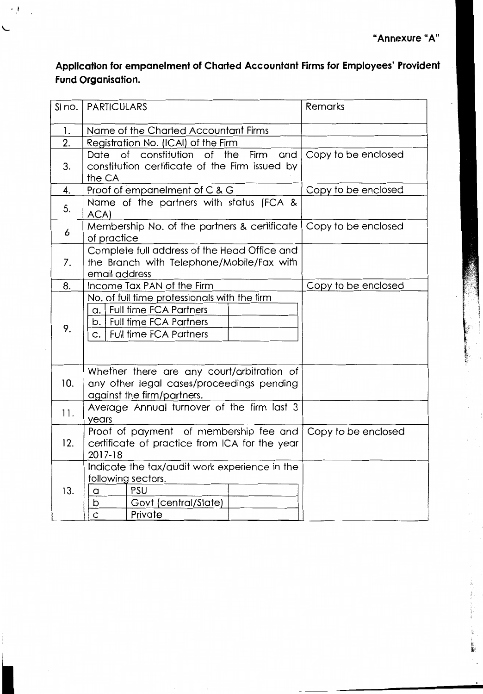÷.

## **Application for empanelment of Charted Accountant Firms for Employees' Provident Fund Organisation.**

 $\cdot$   $\cdot$ 

| SI no. | <b>PARTICULARS</b>                                                                                                                                | Remarks             |
|--------|---------------------------------------------------------------------------------------------------------------------------------------------------|---------------------|
| 1.     | Name of the Charted Accountant Firms                                                                                                              |                     |
| 2.     | Registration No. (ICAI) of the Firm                                                                                                               |                     |
| 3.     | of<br>of constitution<br>the<br>Firm<br>and<br>Date<br>constitution certificate of the Firm issued by<br>the CA                                   | Copy to be enclosed |
| 4.     | Proof of empanelment of C & G                                                                                                                     | Copy to be enclosed |
| 5.     | Name of the partners with status (FCA &<br>ACA)                                                                                                   |                     |
| 6      | Membership No. of the partners & certificate<br>of practice                                                                                       | Copy to be enclosed |
| 7.     | Complete full address of the Head Office and<br>the Branch with Telephone/Mobile/Fax with<br>email address                                        |                     |
| 8.     | Income Tax PAN of the Firm                                                                                                                        | Copy to be enclosed |
| 9.     | No. of full time professionals with the firm<br>a.   Full time FCA Partners<br>b.   Full time FCA Partners<br><b>Full time FCA Partners</b><br>C. |                     |
| 10.    | Whether there are any court/arbitration of<br>any other legal cases/proceedings pending<br>against the firm/partners.                             |                     |
| 11.    | Average Annual turnover of the firm last 3<br>years                                                                                               |                     |
| 12.    | Proof of payment of membership fee and<br>certificate of practice from ICA for the year<br>2017-18                                                | Copy to be enclosed |
| 13.    | Indicate the tax/audit work experience in the<br>following sectors.<br>PSU<br>a<br>Govt (central/State)<br>b<br>Ċ<br>Private                      |                     |